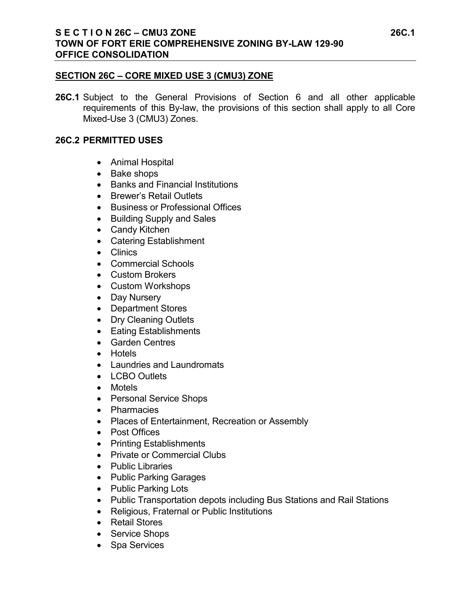## **S E C T I O N 26C – CMU3 ZONE 26C.1 TOWN OF FORT ERIE COMPREHENSIVE ZONING BY-LAW 129-90 OFFICE CONSOLIDATION**

### **SECTION 26C – CORE MIXED USE 3 (CMU3) ZONE**

**26C.1** Subject to the General Provisions of Section 6 and all other applicable requirements of this By-law, the provisions of this section shall apply to all Core Mixed-Use 3 (CMU3) Zones.

#### **26C.2 PERMITTED USES**

- Animal Hospital
- Bake shops
- Banks and Financial Institutions
- Brewer's Retail Outlets
- Business or Professional Offices
- Building Supply and Sales
- Candy Kitchen
- Catering Establishment
- Clinics
- Commercial Schools
- Custom Brokers
- Custom Workshops
- Day Nursery
- Department Stores
- Dry Cleaning Outlets
- Eating Establishments
- Garden Centres
- Hotels
- Laundries and Laundromats
- LCBO Outlets
- Motels
- Personal Service Shops
- Pharmacies
- Places of Entertainment, Recreation or Assembly
- Post Offices
- Printing Establishments
- Private or Commercial Clubs
- Public Libraries
- Public Parking Garages
- Public Parking Lots
- Public Transportation depots including Bus Stations and Rail Stations
- Religious, Fraternal or Public Institutions
- Retail Stores
- Service Shops
- Spa Services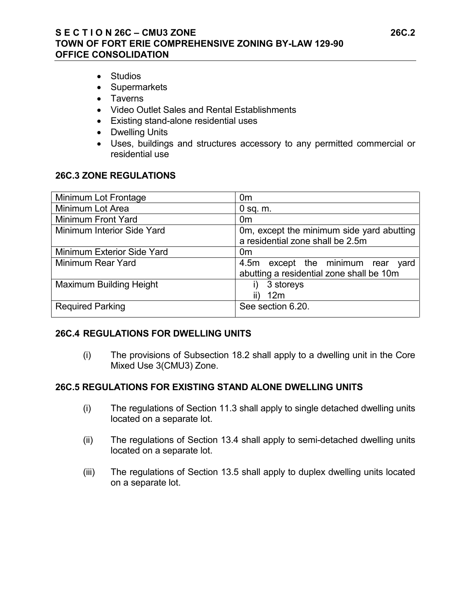## **S E C T I O N 26C – CMU3 ZONE 26C.2 TOWN OF FORT ERIE COMPREHENSIVE ZONING BY-LAW 129-90 OFFICE CONSOLIDATION**

- Studios
- Supermarkets
- Taverns
- Video Outlet Sales and Rental Establishments
- Existing stand-alone residential uses
- Dwelling Units
- Uses, buildings and structures accessory to any permitted commercial or residential use

#### **26C.3 ZONE REGULATIONS**

| Minimum Lot Frontage           | 0 <sub>m</sub>                                                                   |
|--------------------------------|----------------------------------------------------------------------------------|
| Minimum Lot Area               | $0$ sq. m.                                                                       |
| Minimum Front Yard             | 0 <sub>m</sub>                                                                   |
| Minimum Interior Side Yard     | Om, except the minimum side yard abutting<br>a residential zone shall be 2.5m    |
| Minimum Exterior Side Yard     | 0m                                                                               |
| Minimum Rear Yard              | 4.5m except the minimum rear<br>yard<br>abutting a residential zone shall be 10m |
| <b>Maximum Building Height</b> | 3 storeys<br>I)<br>12m                                                           |
| <b>Required Parking</b>        | See section 6.20.                                                                |

## **26C.4 REGULATIONS FOR DWELLING UNITS**

(i) The provisions of Subsection 18.2 shall apply to a dwelling unit in the Core Mixed Use 3(CMU3) Zone.

## **26C.5 REGULATIONS FOR EXISTING STAND ALONE DWELLING UNITS**

- (i) The regulations of Section 11.3 shall apply to single detached dwelling units located on a separate lot.
- (ii) The regulations of Section 13.4 shall apply to semi-detached dwelling units located on a separate lot.
- (iii) The regulations of Section 13.5 shall apply to duplex dwelling units located on a separate lot.